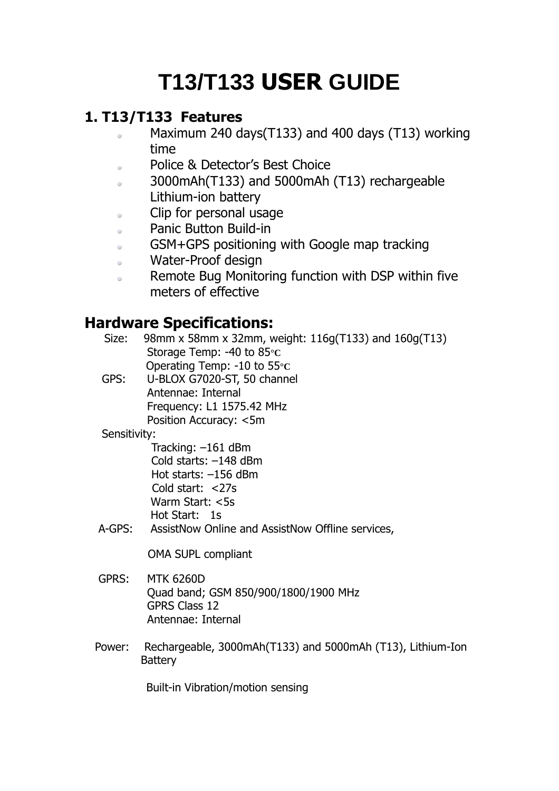# **T13/T133 USER GUIDE**

# **1. T13/T133 Features**

- Maximum 240 days(T133) and 400 days (T13) working  $\alpha$ time
- Police & Detector's Best Choice  $\alpha$
- 3000mAh(T133) and 5000mAh (T13) rechargeable  $\alpha$ Lithium-ion battery
- Clip for personal usage  $\alpha$
- Panic Button Build-in  $\bullet$
- GSM+GPS positioning with Google map tracking  $\alpha$
- Water-Proof design  $\bullet$
- Remote Bug Monitoring function with DSP within five  $\alpha$ meters of effective

# **Hardware Specifications:**

| Size: | 98mm x 58mm x 32mm, weight: 116g(T133) and 160g(T13) |
|-------|------------------------------------------------------|
|       | Storage Temp: -40 to $85 \, \mathrm{c}$              |
|       | Operating Temp: -10 to 55 $\rm{c}$                   |

 GPS: U-BLOX G7020-ST, 50 channel Antennae: Internal Frequency: L1 1575.42 MHz Position Accuracy: <5m

### Sensitivity:

 Tracking: –161 dBm Cold starts: –148 dBm Hot starts: –156 dBm Cold start: <27s Warm Start: <5s Hot Start: 1s

A-GPS: AssistNow Online and AssistNow Offline services,

OMA SUPL compliant

- GPRS: MTK 6260D Quad band; GSM 850/900/1800/1900 MHz GPRS Class 12 Antennae: Internal
- Power: Rechargeable, 3000mAh(T133) and 5000mAh (T13), Lithium-Ion **Battery**

Built-in Vibration/motion sensing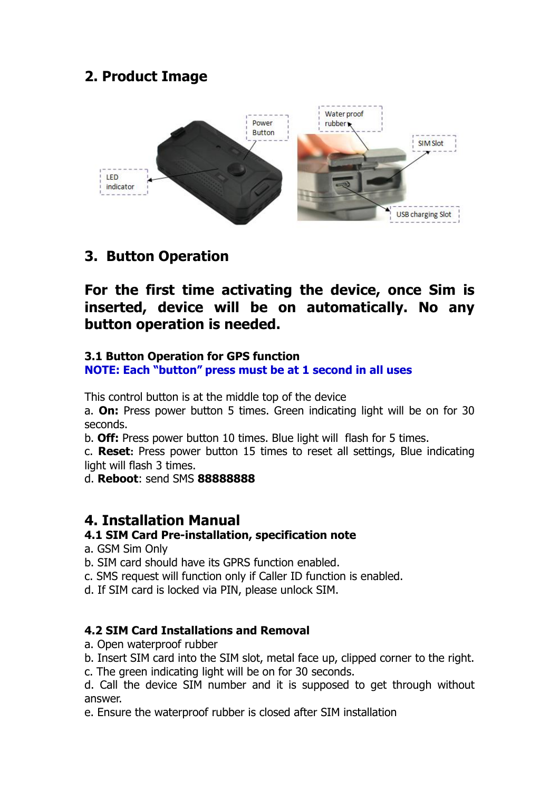# **2. Product Image**



# **3. Button Operation**

**For the first time activating the device, once Sim is inserted, device will be on automatically. No any button operation is needed.**

#### **3.1 Button Operation for GPS function**

**NOTE: Each "button" press must be at 1 second in all uses**

This control button is at the middle top of the device

a. **On:** Press power button 5 times. Green indicating light will be on for 30 seconds.

b. **Off:** Press power button 10 times. Blue light will flash for 5 times.

c. **Reset:** Press power button 15 times to reset all settings, Blue indicating light will flash 3 times.

d. **Reboot**: send SMS **88888888**

# **4. Installation Manual**

#### **4.1 SIM Card Pre-installation, specification note**

- a. GSM Sim Only
- b. SIM card should have its GPRS function enabled.
- c. SMS request will function only if Caller ID function is enabled.
- d. If SIM card is locked via PIN, please unlock SIM.

#### **4.2 SIM Card Installations and Removal**

- a. Open waterproof rubber
- b. Insert SIM card into the SIM slot, metal face up, clipped corner to the right.
- c. The green indicating light will be on for 30 seconds.

d. Call the device SIM number and it is supposed to get through without answer.

e. Ensure the waterproof rubber is closed after SIM installation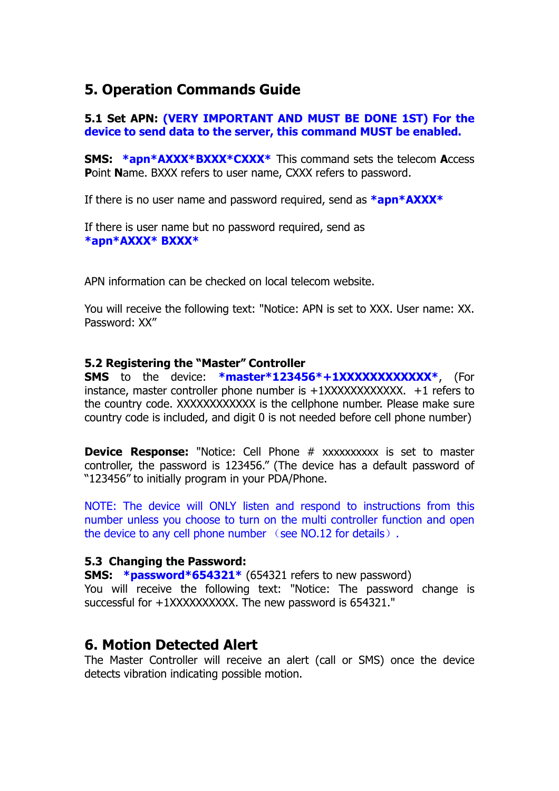# **5. Operation Commands Guide**

#### **5.1 Set APN: (VERY IMPORTANT AND MUST BE DONE 1ST) For the device to send data to the server, this command MUST be enabled.**

**SMS: \*apn\*AXXX\*BXXX\*CXXX\*** This command sets the telecom **A**ccess **P**oint **N**ame. BXXX refers to user name, CXXX refers to password.

If there is no user name and password required, send as **\*apn\*AXXX\***

If there is user name but no password required, send as **\*apn\*AXXX\* BXXX\***

APN information can be checked on local telecom website.

You will receive the following text: "Notice: APN is set to XXX. User name: XX. Password: XX"

#### **5.2 Registering the "Master" Controller**

**SMS** to the device: **\*master\*123456\*+1XXXXXXXXXXXX\***, (For instance, master controller phone number is  $+1$ XXXXXXXXXXX.  $+1$  refers to the country code. XXXXXXXXXXXX is the cellphone number. Please make sure country code is included, and digit 0 is not needed before cell phone number)

**Device Response:** "Notice: Cell Phone # xxxxxxxxx is set to master controller, the password is 123456." (The device has a default password of "123456" to initially program in your PDA/Phone.

NOTE: The device will ONLY listen and respond to instructions from this number unless you choose to turn on the multi controller function and open the device to any cell phone number (see NO.12 for details).

#### **5.3 Changing the Password:**

**SMS:** \*password\*654321\* (654321 refers to new password) You will receive the following text: "Notice: The password change is successful for +1XXXXXXXXXX. The new password is 654321."

#### **6. Motion Detected Alert**

The Master Controller will receive an alert (call or SMS) once the device detects vibration indicating possible motion.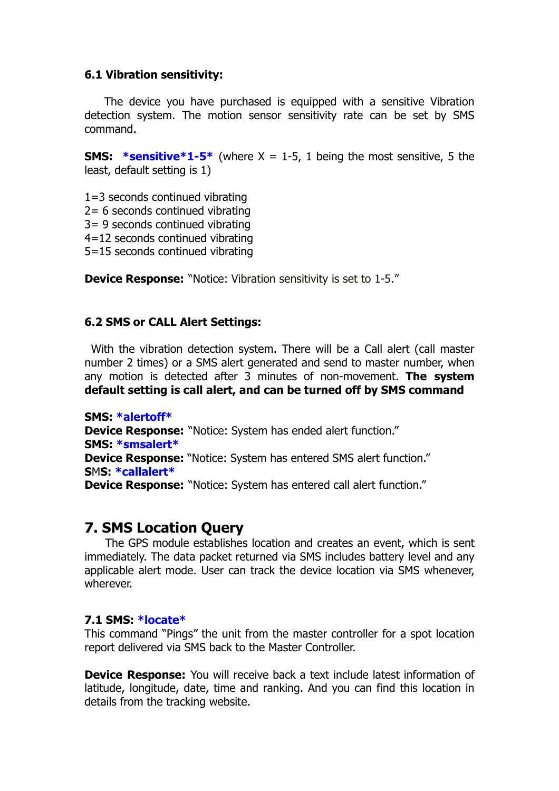#### **6.1 Vibration sensitivity:**

The device you have purchased is equipped with a sensitive Vibration detection system. The motion sensor sensitivity rate can be set by SMS command.

**SMS:** \*sensitive \*1-5\* (where  $X = 1$ -5, 1 being the most sensitive, 5 the least, default setting is 1)

1=3 seconds continued vibrating 2= 6 seconds continued vibrating 3= 9 seconds continued vibrating 4=12 seconds continued vibrating 5=15 seconds continued vibrating

**Device Response:** "Notice: Vibration sensitivity is set to 1-5."

#### **6.2 SMS or CALL Alert Settings:**

With the vibration detection system. There will be a Call alert (call master number 2 times) or a SMS alert generated and send to master number, when any motion is detected after 3 minutes of non-movement. **The system default setting is call alert, and can be turned off by SMS command**

**SMS: \*alertoff\* Device Response:** "Notice: System has ended alert function." **SMS: \*smsalert\* Device Response:** "Notice: System has entered SMS alert function." **S**M**S: \*callalert\* Device Response:** "Notice: System has entered call alert function."

### **7. SMS Location Query**

The GPS module establishes location and creates an event, which is sent immediately. The data packet returned via SMS includes battery level and any applicable alert mode. User can track the device location via SMS whenever, wherever.

#### **7.1 SMS: \*locate\***

This command "Pings" the unit from the master controller for a spot location report delivered via SMS back to the Master Controller.

**Device Response:** You will receive back a text include latest information of latitude, longitude, date, time and ranking. And you can find this location in details from the tracking website.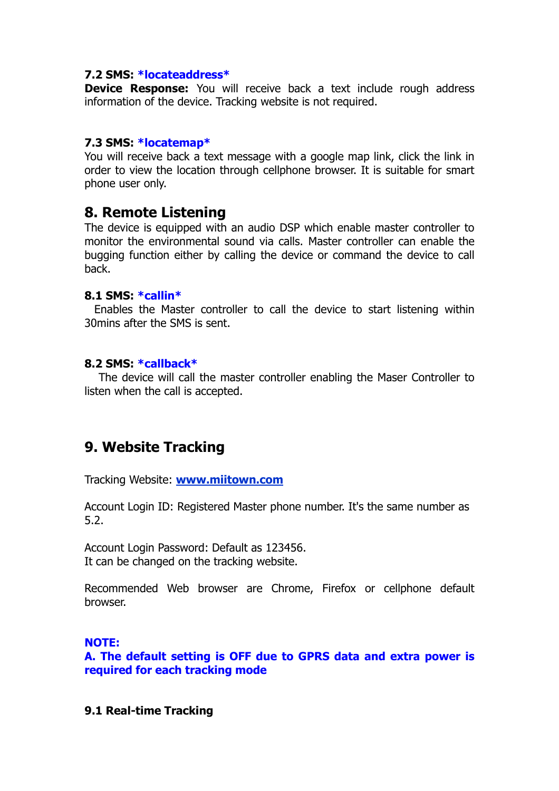#### **7.2 SMS: \*locateaddress\***

**Device Response:** You will receive back a text include rough address information of the device. Tracking website is not required.

#### **7.3 SMS: \*locatemap\***

You will receive back a text message with a google map link, click the link in order to view the location through cellphone browser. It is suitable for smart phone user only.

#### **8. Remote Listening**

The device is equipped with an audio DSP which enable master controller to monitor the environmental sound via calls. Master controller can enable the bugging function either by calling the device or command the device to call back.

#### **8.1 SMS: \*callin\***

Enables the Master controller to call the device to start listening within 30mins after the SMS is sent.

#### **8.2 SMS: \*callback\***

The device will call the master controller enabling the Maser Controller to listen when the call is accepted.

# **9. Website Tracking**

Tracking Website: **[www.miitown.com](http://www.miitown.com/)**

Account Login ID: Registered Master phone number. It's the same number as 5.2.

Account Login Password: Default as 123456. It can be changed on the tracking website.

Recommended Web browser are Chrome, Firefox or cellphone default browser.

#### **NOTE:**

**A. The default setting is OFF due to GPRS data and extra power is required for each tracking mode**

#### **9.1 Real-time Tracking**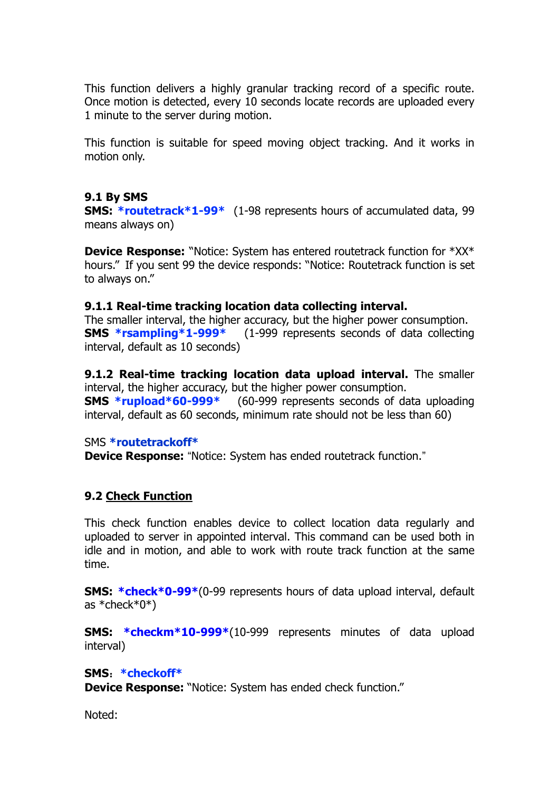This function delivers a highly granular tracking record of a specific route. Once motion is detected, every 10 seconds locate records are uploaded every 1 minute to the server during motion.

This function is suitable for speed moving object tracking. And it works in motion only.

#### **9.1 By SMS**

**SMS: \*routetrack\*1-99\*** (1-98 represents hours of accumulated data, 99 means always on)

**Device Response:** "Notice: System has entered routetrack function for \*XX\* hours." If you sent 99 the device responds: "Notice: Routetrack function is set to always on."

#### **9.1.1 Real-time tracking location data collecting interval.**

The smaller interval, the higher accuracy, but the higher power consumption. **SMS \*rsampling\*1-999\*** (1-999 represents seconds of data collecting interval, default as 10 seconds)

**9.1.2 Real-time tracking location data upload interval.** The smaller interval, the higher accuracy, but the higher power consumption. **SMS \*rupload\*60-999\*** (60-999 represents seconds of data uploading

interval, default as 60 seconds, minimum rate should not be less than 60)

#### SMS **\*routetrackoff\***

**Device Response:** "Notice: System has ended routetrack function."

#### **9.2 Check Function**

This check function enables device to collect location data regularly and uploaded to server in appointed interval. This command can be used both in idle and in motion, and able to work with route track function at the same time.

**SMS: \*check\*0-99\***(0-99 represents hours of data upload interval, default as \*check\*0\*)

**SMS: \*checkm\*10-999\***(10-999 represents minutes of data upload interval)

#### **SMS**:**\*checkoff\***

**Device Response:** "Notice: System has ended check function."

Noted: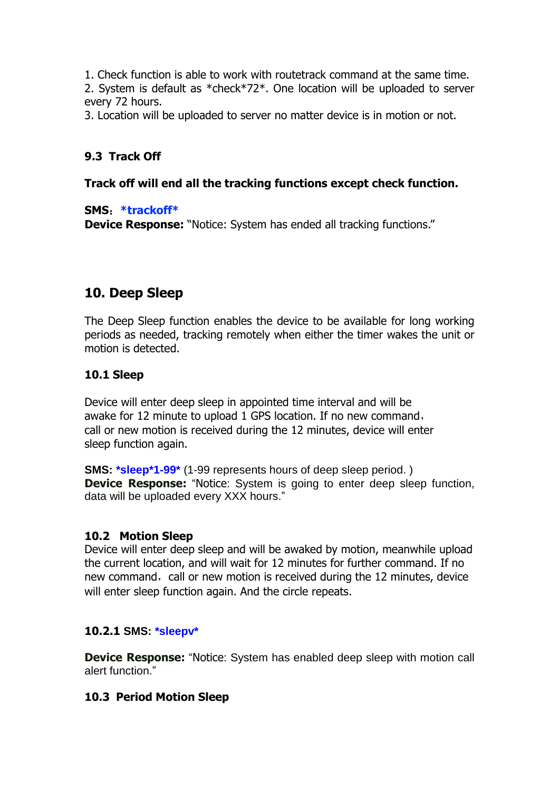1. Check function is able to work with routetrack command at the same time. 2. System is default as \*check\*72\*. One location will be uploaded to server every 72 hours.

3. Location will be uploaded to server no matter device is in motion or not.

#### **9.3 Track Off**

#### **Track off will end all the tracking functions except check function.**

#### **SMS**:**\*trackoff\***

**Device Response:** "Notice: System has ended all tracking functions."

# **10. Deep Sleep**

The Deep Sleep function enables the device to be available for long working periods as needed, tracking remotely when either the timer wakes the unit or motion is detected.

#### **10.1 Sleep**

Device will enter deep sleep in appointed time interval and will be awake for 12 minute to upload 1 GPS location. If no new command, call or new motion is received during the 12 minutes, device will enter sleep function again.

**SMS: \*sleep\*1-99\*** (1-99 represents hours of deep sleep period. ) **Device Response:** "Notice: System is going to enter deep sleep function, data will be uploaded every XXX hours."

#### **10.2 Motion Sleep**

Device will enter deep sleep and will be awaked by motion, meanwhile upload the current location, and will wait for 12 minutes for further command. If no new command, call or new motion is received during the 12 minutes, device will enter sleep function again. And the circle repeats.

#### **10.2.1 SMS: \*sleepv\***

**Device Response:** "Notice: System has enabled deep sleep with motion call alert function."

#### **10.3 Period Motion Sleep**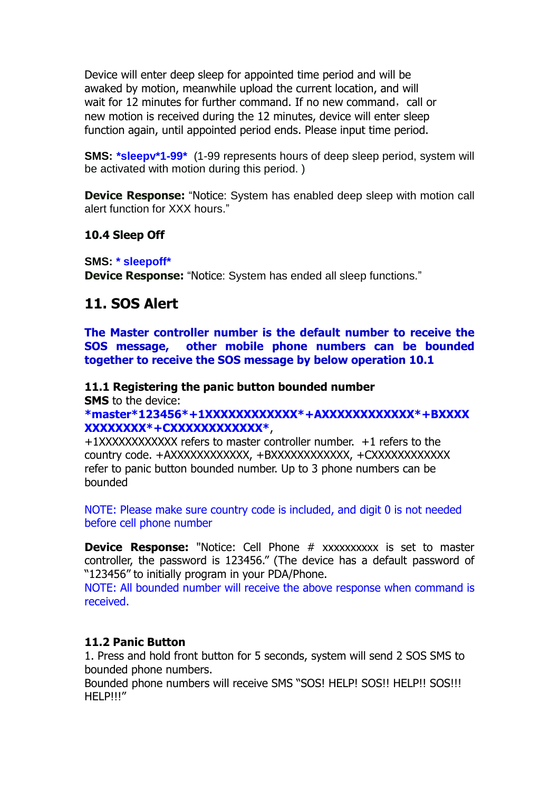Device will enter deep sleep for appointed time period and will be awaked by motion, meanwhile upload the current location, and will wait for 12 minutes for further command. If no new command, call or new motion is received during the 12 minutes, device will enter sleep function again, until appointed period ends. Please input time period.

**SMS: \*sleepv\*1-99\*** (1-99 represents hours of deep sleep period, system will be activated with motion during this period. )

**Device Response:** "Notice: System has enabled deep sleep with motion call alert function for XXX hours."

#### **10.4 Sleep Off**

**SMS: \* sleepoff\***

**Device Response:** "Notice: System has ended all sleep functions."

### **11. SOS Alert**

**The Master controller number is the default number to receive the SOS message, other mobile phone numbers can be bounded together to receive the SOS message by below operation 10.1**

#### **11.1 Registering the panic button bounded number**

**SMS** to the device:

**\*master\*123456\*+1XXXXXXXXXXXX\*+AXXXXXXXXXXXX\*+BXXXX XXXXXXXX\*+CXXXXXXXXXXXX\***,

+1XXXXXXXXXXXX refers to master controller number. +1 refers to the country code. +AXXXXXXXXXXXX, +BXXXXXXXXXXXX, +CXXXXXXXXXXXX refer to panic button bounded number. Up to 3 phone numbers can be bounded

NOTE: Please make sure country code is included, and digit 0 is not needed before cell phone number

**Device Response:** "Notice: Cell Phone # xxxxxxxxxx is set to master controller, the password is 123456." (The device has a default password of "123456" to initially program in your PDA/Phone.

NOTE: All bounded number will receive the above response when command is received.

#### **11.2 Panic Button**

1. Press and hold front button for 5 seconds, system will send 2 SOS SMS to bounded phone numbers.

Bounded phone numbers will receive SMS "SOS! HELP! SOS!! HELP!! SOS!!! HELP!!!"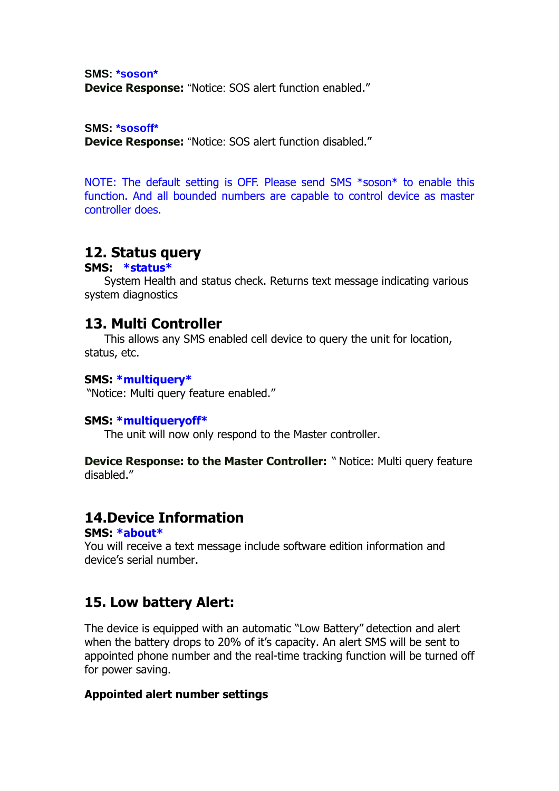**SMS: \*soson\* Device Response:** "Notice: SOS alert function enabled."

**SMS: \*sosoff\***

**Device Response:** "Notice: SOS alert function disabled."

NOTE: The default setting is OFF. Please send SMS \*soson\* to enable this function. And all bounded numbers are capable to control device as master controller does.

# **12. Status query**

#### **SMS: \*status\***

System Health and status check. Returns text message indicating various system diagnostics

### **13. Multi Controller**

This allows any SMS enabled cell device to query the unit for location, status, etc.

#### **SMS: \*multiquery\***

"Notice: Multi query feature enabled."

#### **SMS: \*multiqueryoff\***

The unit will now only respond to the Master controller.

**Device Response: to the Master Controller:** " Notice: Multi query feature disabled."

# **14.Device Information**

#### **SMS: \*about\***

You will receive a text message include software edition information and device's serial number.

# **15. Low battery Alert:**

The device is equipped with an automatic "Low Battery" detection and alert when the battery drops to 20% of it's capacity. An alert SMS will be sent to appointed phone number and the real-time tracking function will be turned off for power saving.

#### **Appointed alert number settings**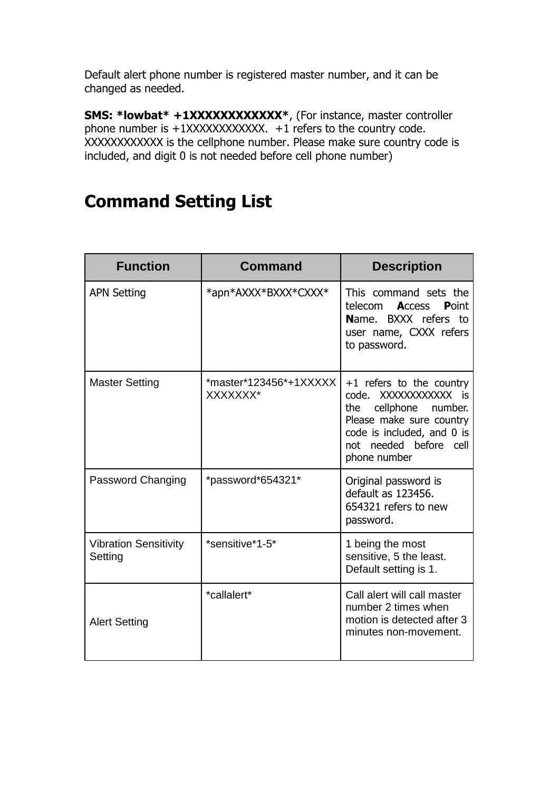Default alert phone number is registered master number, and it can be changed as needed.

**SMS: \*lowbat\* +1XXXXXXXXXXXX\***, (For instance, master controller phone number is  $+1XXXXXXXXXX$ ,  $+1$  refers to the country code. XXXXXXXXXXXX is the cellphone number. Please make sure country code is included, and digit 0 is not needed before cell phone number)

# **Command Setting List**

| <b>Function</b>                         | <b>Command</b>                          | <b>Description</b>                                                                                                                                                                       |
|-----------------------------------------|-----------------------------------------|------------------------------------------------------------------------------------------------------------------------------------------------------------------------------------------|
| <b>APN Setting</b>                      | *apn*AXXX*BXXX*CXXX*                    | This command sets the<br>telecom<br><b>Access</b><br><b>P</b> oint<br>Name. BXXX refers to<br>user name, CXXX refers<br>to password.                                                     |
| <b>Master Setting</b>                   | $*$ master $*123456*+1XXXX$<br>XXXXXXX* | $+1$ refers to the country<br>XXXXXXXXXXX is<br>code.<br>cellphone<br>the<br>number.<br>Please make sure country<br>code is included, and 0 is<br>not needed before cell<br>phone number |
| Password Changing                       | *password*654321*                       | Original password is<br>default as 123456.<br>654321 refers to new<br>password.                                                                                                          |
| <b>Vibration Sensitivity</b><br>Setting | *sensitive*1-5*                         | 1 being the most<br>sensitive, 5 the least.<br>Default setting is 1.                                                                                                                     |
| <b>Alert Setting</b>                    | *callalert*                             | Call alert will call master<br>number 2 times when<br>motion is detected after 3<br>minutes non-movement.                                                                                |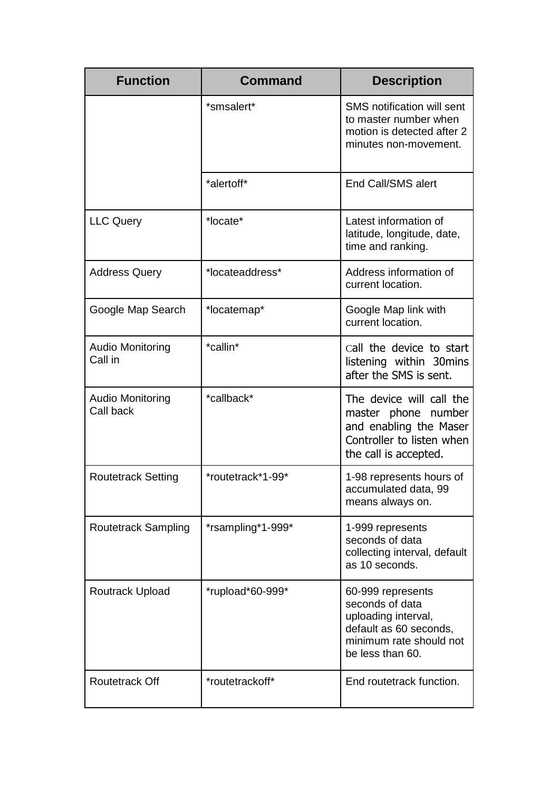| <b>Function</b>                      | <b>Command</b>    | <b>Description</b>                                                                                                                   |
|--------------------------------------|-------------------|--------------------------------------------------------------------------------------------------------------------------------------|
|                                      | *smsalert*        | <b>SMS</b> notification will sent<br>to master number when<br>motion is detected after 2<br>minutes non-movement.                    |
|                                      | *alertoff*        | End Call/SMS alert                                                                                                                   |
| <b>LLC Query</b>                     | *locate*          | Latest information of<br>latitude, longitude, date,<br>time and ranking.                                                             |
| <b>Address Query</b>                 | *locateaddress*   | Address information of<br>current location.                                                                                          |
| Google Map Search                    | *locatemap*       | Google Map link with<br>current location.                                                                                            |
| <b>Audio Monitoring</b><br>Call in   | *callin*          | call the device to start<br>listening within 30mins<br>after the SMS is sent.                                                        |
| <b>Audio Monitoring</b><br>Call back | *callback*        | The device will call the<br>master phone number<br>and enabling the Maser<br>Controller to listen when<br>the call is accepted.      |
| <b>Routetrack Setting</b>            | *routetrack*1-99* | 1-98 represents hours of<br>accumulated data, 99<br>means always on.                                                                 |
| <b>Routetrack Sampling</b>           | *rsampling*1-999* | 1-999 represents<br>seconds of data<br>collecting interval, default<br>as 10 seconds.                                                |
| Routrack Upload                      | *rupload*60-999*  | 60-999 represents<br>seconds of data<br>uploading interval,<br>default as 60 seconds,<br>minimum rate should not<br>be less than 60. |
| <b>Routetrack Off</b>                | *routetrackoff*   | End routetrack function.                                                                                                             |